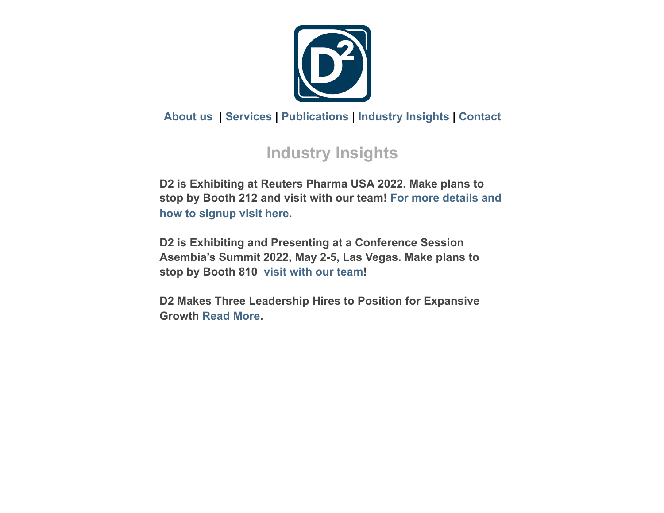

### **[About us](#page-3-0) | [Services](#page-2-0) | [Publications](#page-1-0) | [Industry Insights](#page-0-0) | [Contact](https://go.vbt.email/r/36gj/?__vbtrk&_uax&ct)**

# <span id="page-0-0"></span>**Industry Insights**

**D2 is Exhibiting at Reuters Pharma USA 2022. Make plans to [stop by Booth 212 and visit](https://go.vbt.email/r/36Pm/?__vbtrk&_uax&ct) with our team! For more details and how to signup visit here.**

**D2 is Exhibiting and Presenting at a Conference Session Asembia's Summit 2022, May 2-5, Las Vegas. Make plans to stop by Booth 810 [visit with our team](https://go.vbt.email/r/36Pn/?__vbtrk&_uax&ct)!**

**D2 Makes Three Leadership Hires to Position for Expansive Growth [Read More](https://go.vbt.email/r/36Po/?__vbtrk&_uax&ct).**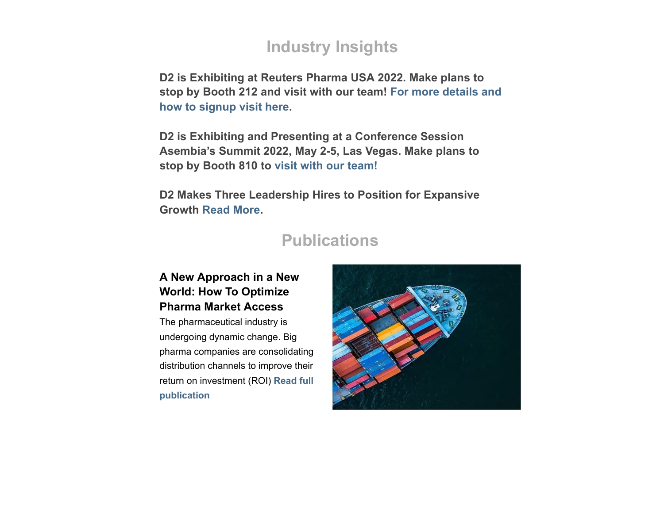## **Industry Insights**

**D2 is Exhibiting at Reuters Pharma USA 2022. Make plans to [stop by Booth 212 and visit](https://go.vbt.email/r/36Pm/?__vbtrk&_uax&ct) with our team! For more details and how to signup visit here.**

**D2 is Exhibiting and Presenting at a Conference Session Asembia's Summit 2022, May 2-5, Las Vegas. Make plans to stop by Booth 810 to [visit with our team!](https://go.vbt.email/r/36Pn/?__vbtrk&_uax&ct)**

**D2 Makes Three Leadership Hires to Position for Expansive Growth [Read More](https://go.vbt.email/r/36Po/?__vbtrk&_uax&ct).**

### <span id="page-1-0"></span>**Publications**

#### **A New Approach in a New World: How To Optimize Pharma Market Access**

The pharmaceutical industry is undergoing dynamic change. Big pharma companies are consolidating distribution channels to improve their [return on investment \(ROI\)](https://go.vbt.email/r/36PJ/?__vbtrk&_uax&ct) **Read full publication**

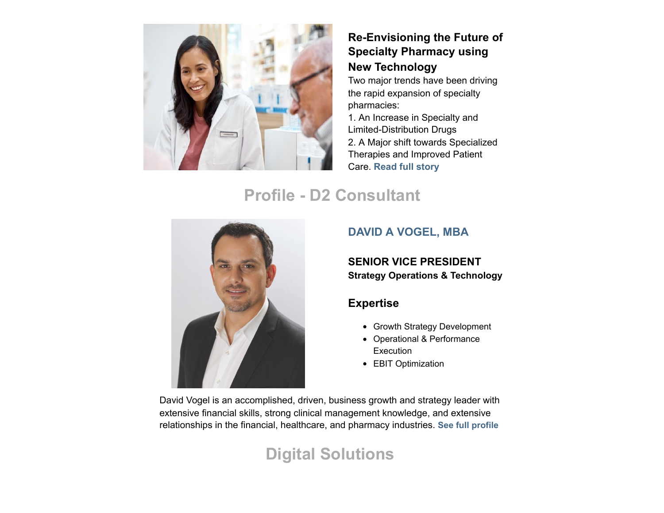

#### **Re-Envisioning the Future of Specialty Pharmacy using New Technology**

Two major trends have been driving the rapid expansion of specialty pharmacies: 1. An Increase in Specialty and Limited-Distribution Drugs 2. A Major shift towards Specialized Therapies and Improved Patient Care. **[Read full story](https://go.vbt.email/r/36PK/?__vbtrk&_uax&ct)**

# **Profile - D2 Consultant**



#### **[DAVID A VOGEL, MBA](https://go.vbt.email/r/39NC/?__vbtrk&_uax&ct)**

#### **SENIOR VICE PRESIDENT Strategy Operations & Technology**

#### **Expertise**

- Growth Strategy Development
- Operational & Performance **Execution**
- EBIT Optimization

David Vogel is an accomplished, driven, business growth and strategy leader with extensive financial skills, strong clinical management knowledge, and extensive relationships in the financial, healthcare, and pharmacy industries. **[See full profile](https://go.vbt.email/r/36Pp/?__vbtrk&_uax&ct)**

# <span id="page-2-0"></span>**Digital Solutions**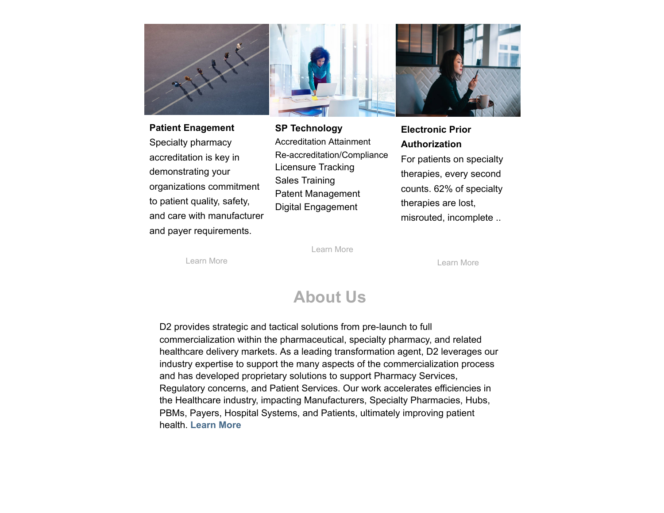

**Patient Enagement** Specialty pharmacy accreditation is key in demonstrating your organizations commitment to patient quality, safety, and care with manufacturer and payer requirements.

**SP Technology** Accreditation Attainment Re-accreditation/Compliance Licensure Tracking Sales Training Patent Management Digital Engagement

**Electronic Prior Authorization** For patients on specialty therapies, every second counts. 62% of specialty therapies are lost, misrouted, incomplete ..

[Learn More](https://go.vbt.email/r/36VI/?__vbtrk&_uax&ct)

[Learn More](https://go.vbt.email/r/36VH/?__vbtrk&_uax&ct)

[Learn More](https://go.vbt.email/r/36VJ/?__vbtrk&_uax&ct)

### <span id="page-3-0"></span>**About Us**

D2 provides strategic and tactical solutions from pre-launch to full commercialization within the pharmaceutical, specialty pharmacy, and related healthcare delivery markets. As a leading transformation agent, D2 leverages our industry expertise to support the many aspects of the commercialization process and has developed proprietary solutions to support Pharmacy Services, Regulatory concerns, and Patient Services. Our work accelerates efficiencies in the Healthcare industry, impacting Manufacturers, Specialty Pharmacies, Hubs, PBMs, Payers, Hospital Systems, and Patients, ultimately improving patient health. **[Learn More](https://go.vbt.email/r/36gu/?__vbtrk&_uax&ct)**